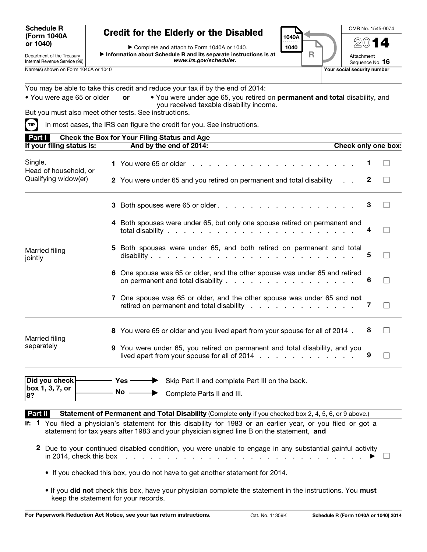## Schedule R (Form 1040A or 1040)

## Credit for the Elderly or the Disabled

▶ Complete and attach to Form 1040A or 1040. ▶ Information about Schedule R and its separate instructions is at *www.irs.gov/scheduler.*

OMB No. 1545-0074

2014

Attachment Sequence No. 16

Name(s) shown on Form 1040A or 1040

1040A . . . . . . . . . . 1040

R

Internal Revenue Service (99)

Department of the Treasury

You may be able to take this credit and reduce your tax if by the end of 2014:

| • You were age 65 or older | • You were under age 65, you retired on permanent and total disability, and |
|----------------------------|-----------------------------------------------------------------------------|
|                            | you received taxable disability income.                                     |

But you must also meet other tests. See instructions.

 $\text{Tr}$  In most cases, the IRS can figure the credit for you. See instructions.

| Part I<br><b>Check the Box for Your Filing Status and Age</b> |                                                                                                                                                                                                             |                     |   |                          |  |  |  |  |
|---------------------------------------------------------------|-------------------------------------------------------------------------------------------------------------------------------------------------------------------------------------------------------------|---------------------|---|--------------------------|--|--|--|--|
| If your filing status is:                                     | And by the end of 2014:                                                                                                                                                                                     | Check only one box: |   |                          |  |  |  |  |
| Single,<br>Head of household, or                              |                                                                                                                                                                                                             |                     |   | $\mathsf{L}$             |  |  |  |  |
| Qualifying widow(er)                                          | 2 You were under 65 and you retired on permanent and total disability                                                                                                                                       |                     | 2 | $\Box$                   |  |  |  |  |
|                                                               | 3 Both spouses were 65 or older.                                                                                                                                                                            |                     | 3 |                          |  |  |  |  |
|                                                               | 4 Both spouses were under 65, but only one spouse retired on permanent and                                                                                                                                  |                     |   | $\mathsf{I}$             |  |  |  |  |
| Married filing<br>jointly                                     | 5 Both spouses were under 65, and both retired on permanent and total                                                                                                                                       |                     | 5 |                          |  |  |  |  |
|                                                               | 6 One spouse was 65 or older, and the other spouse was under 65 and retired<br>on permanent and total disability                                                                                            |                     | 6 |                          |  |  |  |  |
|                                                               | 7 One spouse was 65 or older, and the other spouse was under 65 and not<br>retired on permanent and total disability                                                                                        |                     | 7 | $\mathsf{L}$             |  |  |  |  |
| Married filing                                                | 8 You were 65 or older and you lived apart from your spouse for all of 2014.                                                                                                                                |                     | 8 | $\overline{\phantom{a}}$ |  |  |  |  |
| separately                                                    | 9 You were under 65, you retired on permanent and total disability, and you                                                                                                                                 |                     | 9 |                          |  |  |  |  |
| Did you check<br>box 1, 3, 7, or                              | → Yes → Skip Part II and complete Part III on the back.                                                                                                                                                     |                     |   |                          |  |  |  |  |
| 8?                                                            | No  in Complete Parts II and III.                                                                                                                                                                           |                     |   |                          |  |  |  |  |
| Part II                                                       | Statement of Permanent and Total Disability (Complete only if you checked box 2, 4, 5, 6, or 9 above.)                                                                                                      |                     |   |                          |  |  |  |  |
|                                                               | If: 1 You filed a physician's statement for this disability for 1983 or an earlier year, or you filed or got a<br>statement for tax years after 1983 and your physician signed line B on the statement, and |                     |   |                          |  |  |  |  |
|                                                               | 2 Due to your continued disabled condition, you were unable to engage in any substantial gainful activity                                                                                                   |                     |   |                          |  |  |  |  |

- If you checked this box, you do not have to get another statement for 2014.
- If you did not check this box, have your physician complete the statement in the instructions. You must keep the statement for your records.

in 2014, check this box . . . . . . . . . . . . . . . . . . . . . . . . . . . . . ▶